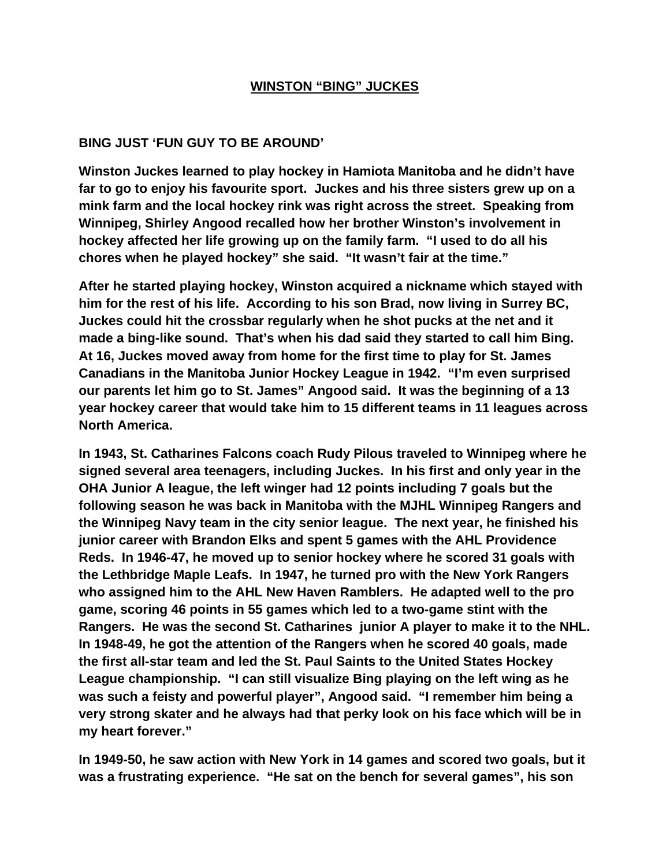## **WINSTON "BING" JUCKES**

## **BING JUST 'FUN GUY TO BE AROUND'**

**Winston Juckes learned to play hockey in Hamiota Manitoba and he didn't have far to go to enjoy his favourite sport. Juckes and his three sisters grew up on a mink farm and the local hockey rink was right across the street. Speaking from Winnipeg, Shirley Angood recalled how her brother Winston's involvement in hockey affected her life growing up on the family farm. "I used to do all his chores when he played hockey" she said. "It wasn't fair at the time."** 

**After he started playing hockey, Winston acquired a nickname which stayed with him for the rest of his life. According to his son Brad, now living in Surrey BC, Juckes could hit the crossbar regularly when he shot pucks at the net and it made a bing-like sound. That's when his dad said they started to call him Bing. At 16, Juckes moved away from home for the first time to play for St. James Canadians in the Manitoba Junior Hockey League in 1942. "I'm even surprised our parents let him go to St. James" Angood said. It was the beginning of a 13 year hockey career that would take him to 15 different teams in 11 leagues across North America.** 

**In 1943, St. Catharines Falcons coach Rudy Pilous traveled to Winnipeg where he signed several area teenagers, including Juckes. In his first and only year in the OHA Junior A league, the left winger had 12 points including 7 goals but the following season he was back in Manitoba with the MJHL Winnipeg Rangers and the Winnipeg Navy team in the city senior league. The next year, he finished his junior career with Brandon Elks and spent 5 games with the AHL Providence Reds. In 1946-47, he moved up to senior hockey where he scored 31 goals with the Lethbridge Maple Leafs. In 1947, he turned pro with the New York Rangers who assigned him to the AHL New Haven Ramblers. He adapted well to the pro game, scoring 46 points in 55 games which led to a two-game stint with the Rangers. He was the second St. Catharines junior A player to make it to the NHL. In 1948-49, he got the attention of the Rangers when he scored 40 goals, made the first all-star team and led the St. Paul Saints to the United States Hockey League championship. "I can still visualize Bing playing on the left wing as he was such a feisty and powerful player", Angood said. "I remember him being a very strong skater and he always had that perky look on his face which will be in my heart forever."** 

**In 1949-50, he saw action with New York in 14 games and scored two goals, but it was a frustrating experience. "He sat on the bench for several games", his son**